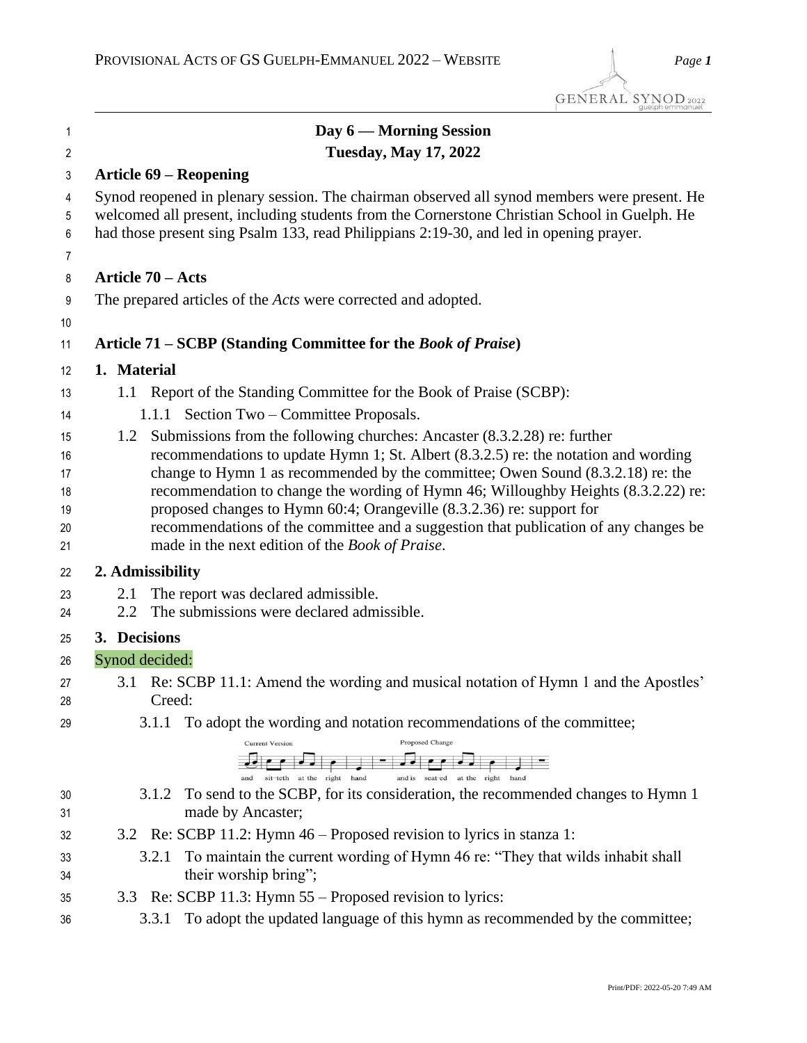| 1                | Day 6 — Morning Session                                                                                                                                                                                                                                                               |
|------------------|---------------------------------------------------------------------------------------------------------------------------------------------------------------------------------------------------------------------------------------------------------------------------------------|
| $\overline{2}$   | <b>Tuesday, May 17, 2022</b>                                                                                                                                                                                                                                                          |
| 3                | <b>Article 69 – Reopening</b>                                                                                                                                                                                                                                                         |
| 4<br>5<br>6<br>7 | Synod reopened in plenary session. The chairman observed all synod members were present. He<br>welcomed all present, including students from the Cornerstone Christian School in Guelph. He<br>had those present sing Psalm 133, read Philippians 2:19-30, and led in opening prayer. |
| 8                | Article 70 - Acts                                                                                                                                                                                                                                                                     |
| 9                | The prepared articles of the <i>Acts</i> were corrected and adopted.                                                                                                                                                                                                                  |
| 10               |                                                                                                                                                                                                                                                                                       |
| 11               | Article 71 - SCBP (Standing Committee for the Book of Praise)                                                                                                                                                                                                                         |
| 12               | 1. Material                                                                                                                                                                                                                                                                           |
| 13               | Report of the Standing Committee for the Book of Praise (SCBP):<br>1.1                                                                                                                                                                                                                |
| 14               | 1.1.1 Section Two – Committee Proposals.                                                                                                                                                                                                                                              |
| 15               | 1.2 Submissions from the following churches: Ancaster (8.3.2.28) re: further                                                                                                                                                                                                          |
| 16               | recommendations to update Hymn 1; St. Albert (8.3.2.5) re: the notation and wording                                                                                                                                                                                                   |
| 17<br>18         | change to Hymn 1 as recommended by the committee; Owen Sound (8.3.2.18) re: the<br>recommendation to change the wording of Hymn 46; Willoughby Heights (8.3.2.22) re:                                                                                                                 |
| 19               | proposed changes to Hymn 60:4; Orangeville (8.3.2.36) re: support for                                                                                                                                                                                                                 |
| 20               | recommendations of the committee and a suggestion that publication of any changes be                                                                                                                                                                                                  |
| 21               | made in the next edition of the Book of Praise.                                                                                                                                                                                                                                       |
| 22               | 2. Admissibility                                                                                                                                                                                                                                                                      |
| 23               | The report was declared admissible.<br>2.1                                                                                                                                                                                                                                            |
| 24               | The submissions were declared admissible.<br>2.2                                                                                                                                                                                                                                      |
| 25               | 3. Decisions                                                                                                                                                                                                                                                                          |
| 26               | Synod decided:                                                                                                                                                                                                                                                                        |
| 27<br>28         | Re: SCBP 11.1: Amend the wording and musical notation of Hymn 1 and the Apostles'<br>3.1<br>Creed:                                                                                                                                                                                    |
| 29               | To adopt the wording and notation recommendations of the committee;<br>3.1.1                                                                                                                                                                                                          |
|                  | Proposed Change<br><b>Current Version</b>                                                                                                                                                                                                                                             |
|                  | at the right<br>at the right hand<br>and<br>sit-teth<br>hand<br>and is seat-ed                                                                                                                                                                                                        |
| 30               | To send to the SCBP, for its consideration, the recommended changes to Hymn 1<br>3.1.2                                                                                                                                                                                                |
| 31               | made by Ancaster;                                                                                                                                                                                                                                                                     |
| 32               | Re: SCBP 11.2: Hymn 46 – Proposed revision to lyrics in stanza 1:<br>3.2                                                                                                                                                                                                              |
| 33               | To maintain the current wording of Hymn 46 re: "They that wilds inhabit shall<br>3.2.1                                                                                                                                                                                                |
| 34               | their worship bring";                                                                                                                                                                                                                                                                 |
| 35               | Re: SCBP 11.3: Hymn 55 – Proposed revision to lyrics:<br>3.3                                                                                                                                                                                                                          |
| 36               | To adopt the updated language of this hymn as recommended by the committee;<br>3.3.1                                                                                                                                                                                                  |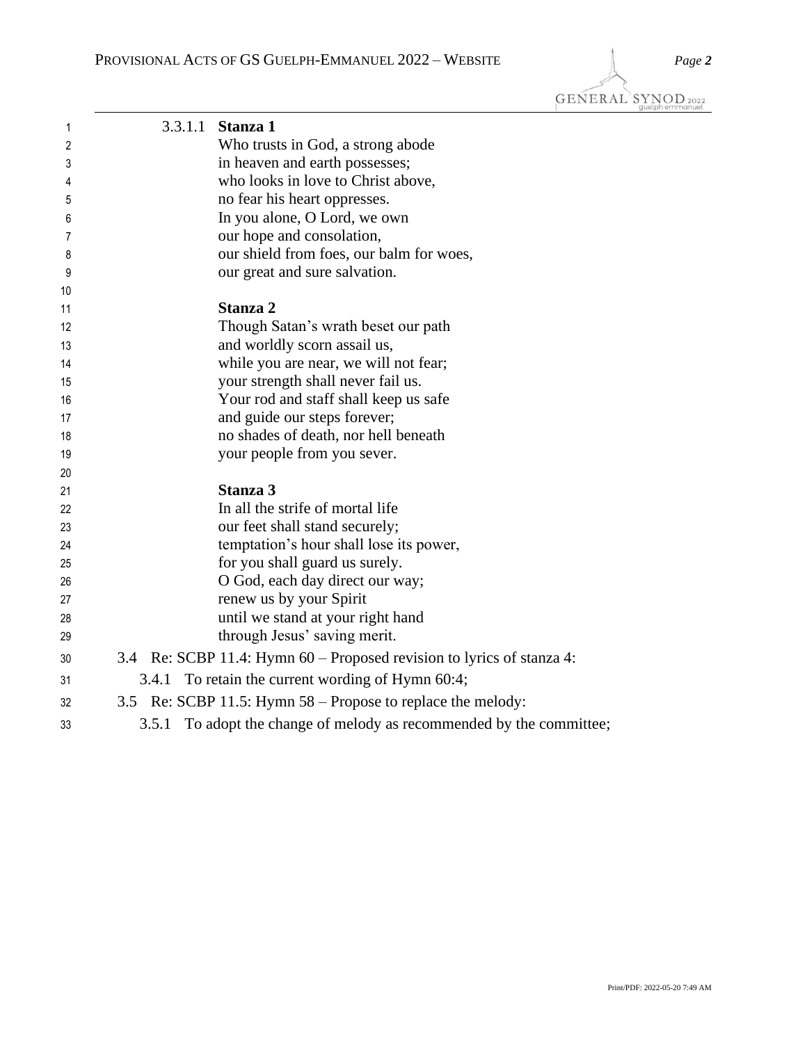GENERAL SYNOD<sub>2022</sub>

| 1  |       | 3.3.1.1 Stanza 1                                                      |
|----|-------|-----------------------------------------------------------------------|
| 2  |       | Who trusts in God, a strong abode                                     |
| 3  |       | in heaven and earth possesses;                                        |
| 4  |       | who looks in love to Christ above,                                    |
| 5  |       | no fear his heart oppresses.                                          |
| 6  |       | In you alone, O Lord, we own                                          |
| 7  |       | our hope and consolation,                                             |
| 8  |       | our shield from foes, our balm for woes,                              |
| 9  |       | our great and sure salvation.                                         |
| 10 |       |                                                                       |
| 11 |       | Stanza 2                                                              |
| 12 |       | Though Satan's wrath beset our path                                   |
| 13 |       | and worldly scorn assail us,                                          |
| 14 |       | while you are near, we will not fear;                                 |
| 15 |       | your strength shall never fail us.                                    |
| 16 |       | Your rod and staff shall keep us safe                                 |
| 17 |       | and guide our steps forever;                                          |
| 18 |       | no shades of death, nor hell beneath                                  |
| 19 |       | your people from you sever.                                           |
| 20 |       |                                                                       |
| 21 |       | Stanza 3                                                              |
| 22 |       | In all the strife of mortal life                                      |
| 23 |       | our feet shall stand securely;                                        |
| 24 |       | temptation's hour shall lose its power,                               |
| 25 |       | for you shall guard us surely.                                        |
| 26 |       | O God, each day direct our way;                                       |
| 27 |       | renew us by your Spirit                                               |
| 28 |       | until we stand at your right hand                                     |
| 29 |       | through Jesus' saving merit.                                          |
| 30 |       | 3.4 Re: SCBP 11.4: Hymn 60 – Proposed revision to lyrics of stanza 4: |
| 31 | 3.4.1 | To retain the current wording of Hymn 60:4;                           |
| 32 |       | 3.5 Re: SCBP 11.5: Hymn 58 – Propose to replace the melody:           |
| 33 | 3.5.1 | To adopt the change of melody as recommended by the committee;        |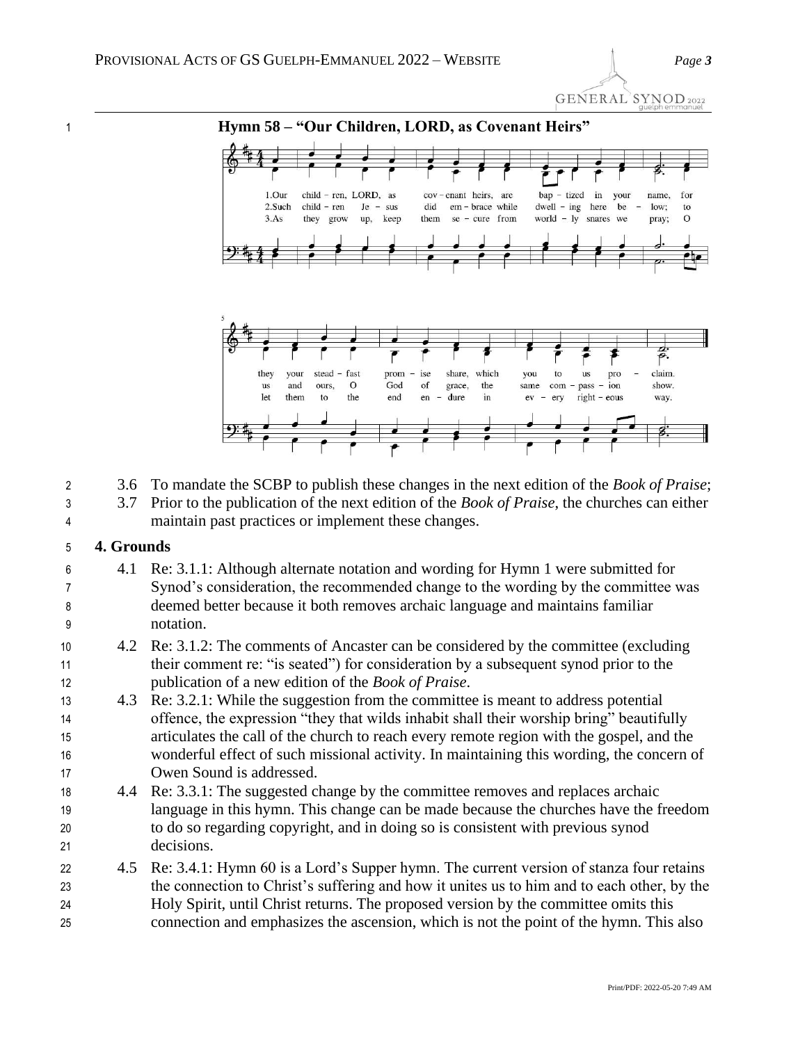GENERAL SYNOD 2022



## **Hymn 58 – "Our Children, LORD, as Covenant Heirs"**



3.6 To mandate the SCBP to publish these changes in the next edition of the *Book of Praise*;

3.7 Prior to the publication of the next edition of the *Book of Praise*, the churches can either

maintain past practices or implement these changes.

## **4. Grounds**

- 4.1 Re: 3.1.1: Although alternate notation and wording for Hymn 1 were submitted for Synod's consideration, the recommended change to the wording by the committee was deemed better because it both removes archaic language and maintains familiar notation.
- 4.2 Re: 3.1.2: The comments of Ancaster can be considered by the committee (excluding their comment re: "is seated") for consideration by a subsequent synod prior to the publication of a new edition of the *Book of Praise*.
- 4.3 Re: 3.2.1: While the suggestion from the committee is meant to address potential offence, the expression "they that wilds inhabit shall their worship bring" beautifully articulates the call of the church to reach every remote region with the gospel, and the wonderful effect of such missional activity. In maintaining this wording, the concern of Owen Sound is addressed.
- 4.4 Re: 3.3.1: The suggested change by the committee removes and replaces archaic language in this hymn. This change can be made because the churches have the freedom to do so regarding copyright, and in doing so is consistent with previous synod decisions.
- 22 4.5 Re: 3.4.1: Hymn 60 is a Lord's Supper hymn. The current version of stanza four retains the connection to Christ's suffering and how it unites us to him and to each other, by the Holy Spirit, until Christ returns. The proposed version by the committee omits this connection and emphasizes the ascension, which is not the point of the hymn. This also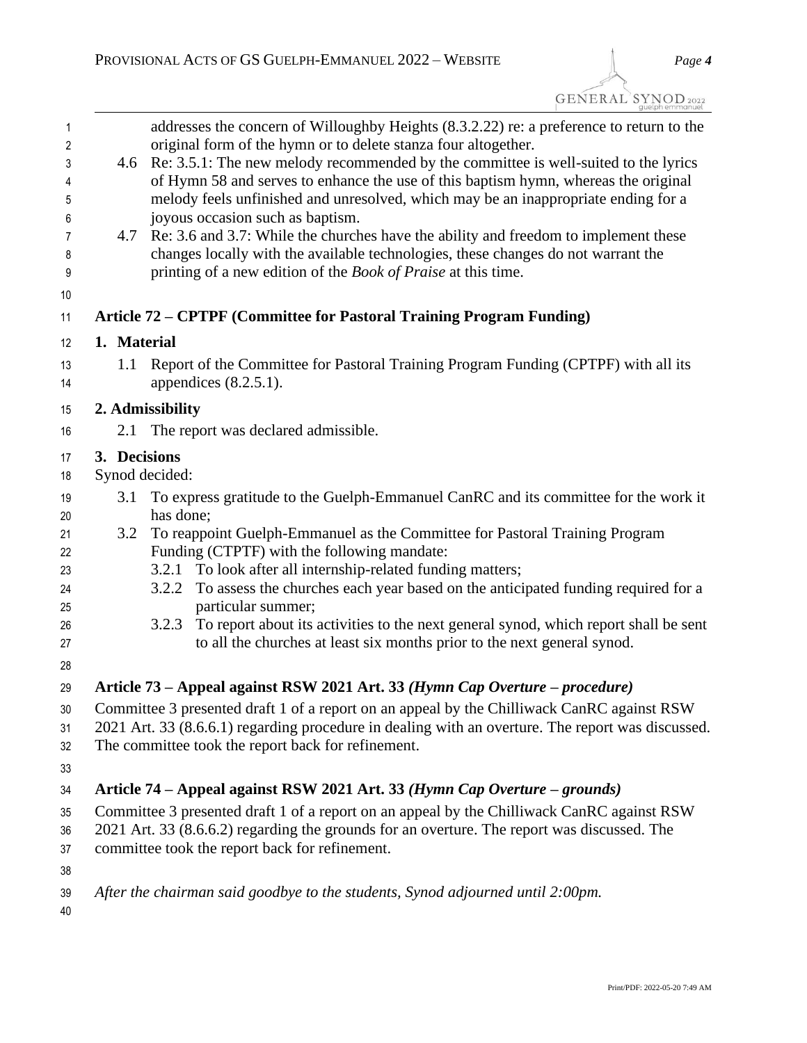| 1<br>2   |                                                                                                   | addresses the concern of Willoughby Heights (8.3.2.22) re: a preference to return to the<br>original form of the hymn or to delete stanza four altogether.                     |  |
|----------|---------------------------------------------------------------------------------------------------|--------------------------------------------------------------------------------------------------------------------------------------------------------------------------------|--|
|          |                                                                                                   |                                                                                                                                                                                |  |
| 3<br>4   |                                                                                                   | 4.6 Re: 3.5.1: The new melody recommended by the committee is well-suited to the lyrics<br>of Hymn 58 and serves to enhance the use of this baptism hymn, whereas the original |  |
| 5        |                                                                                                   | melody feels unfinished and unresolved, which may be an inappropriate ending for a                                                                                             |  |
| 6        |                                                                                                   | joyous occasion such as baptism.                                                                                                                                               |  |
| 7        |                                                                                                   | 4.7 Re: 3.6 and 3.7: While the churches have the ability and freedom to implement these                                                                                        |  |
| 8<br>9   |                                                                                                   | changes locally with the available technologies, these changes do not warrant the<br>printing of a new edition of the <i>Book of Praise</i> at this time.                      |  |
| 10       |                                                                                                   |                                                                                                                                                                                |  |
| 11       |                                                                                                   | Article 72 – CPTPF (Committee for Pastoral Training Program Funding)                                                                                                           |  |
| 12       | 1. Material                                                                                       |                                                                                                                                                                                |  |
| 13<br>14 | 1.1                                                                                               | Report of the Committee for Pastoral Training Program Funding (CPTPF) with all its<br>appendices $(8.2.5.1)$ .                                                                 |  |
| 15       |                                                                                                   | 2. Admissibility                                                                                                                                                               |  |
| 16       | 2.1                                                                                               | The report was declared admissible.                                                                                                                                            |  |
| 17       | 3. Decisions                                                                                      |                                                                                                                                                                                |  |
| 18       |                                                                                                   | Synod decided:                                                                                                                                                                 |  |
| 19       | 3.1                                                                                               | To express gratitude to the Guelph-Emmanuel CanRC and its committee for the work it                                                                                            |  |
| 20       |                                                                                                   | has done;                                                                                                                                                                      |  |
| 21       | 3.2                                                                                               | To reappoint Guelph-Emmanuel as the Committee for Pastoral Training Program                                                                                                    |  |
| 22       |                                                                                                   | Funding (CTPTF) with the following mandate:                                                                                                                                    |  |
| 23       |                                                                                                   | 3.2.1 To look after all internship-related funding matters;                                                                                                                    |  |
| 24       |                                                                                                   | To assess the churches each year based on the anticipated funding required for a<br>3.2.2<br>particular summer;                                                                |  |
| 25       |                                                                                                   | To report about its activities to the next general synod, which report shall be sent<br>3.2.3                                                                                  |  |
| 26<br>27 |                                                                                                   | to all the churches at least six months prior to the next general synod.                                                                                                       |  |
| 28       |                                                                                                   |                                                                                                                                                                                |  |
| 29       |                                                                                                   | Article 73 – Appeal against RSW 2021 Art. 33 (Hymn Cap Overture – procedure)                                                                                                   |  |
| 30       |                                                                                                   | Committee 3 presented draft 1 of a report on an appeal by the Chilliwack CanRC against RSW                                                                                     |  |
| 31       | 2021 Art. 33 (8.6.6.1) regarding procedure in dealing with an overture. The report was discussed. |                                                                                                                                                                                |  |
| 32       |                                                                                                   | The committee took the report back for refinement.                                                                                                                             |  |
| 33       |                                                                                                   |                                                                                                                                                                                |  |
| 34       |                                                                                                   | Article 74 – Appeal against RSW 2021 Art. 33 (Hymn Cap Overture – grounds)                                                                                                     |  |
| 35       |                                                                                                   | Committee 3 presented draft 1 of a report on an appeal by the Chilliwack CanRC against RSW                                                                                     |  |
| 36       | 2021 Art. 33 (8.6.6.2) regarding the grounds for an overture. The report was discussed. The       |                                                                                                                                                                                |  |
| 37       |                                                                                                   | committee took the report back for refinement.                                                                                                                                 |  |
| 38       |                                                                                                   |                                                                                                                                                                                |  |
| 39       |                                                                                                   | After the chairman said goodbye to the students, Synod adjourned until 2:00pm.                                                                                                 |  |
| 40       |                                                                                                   |                                                                                                                                                                                |  |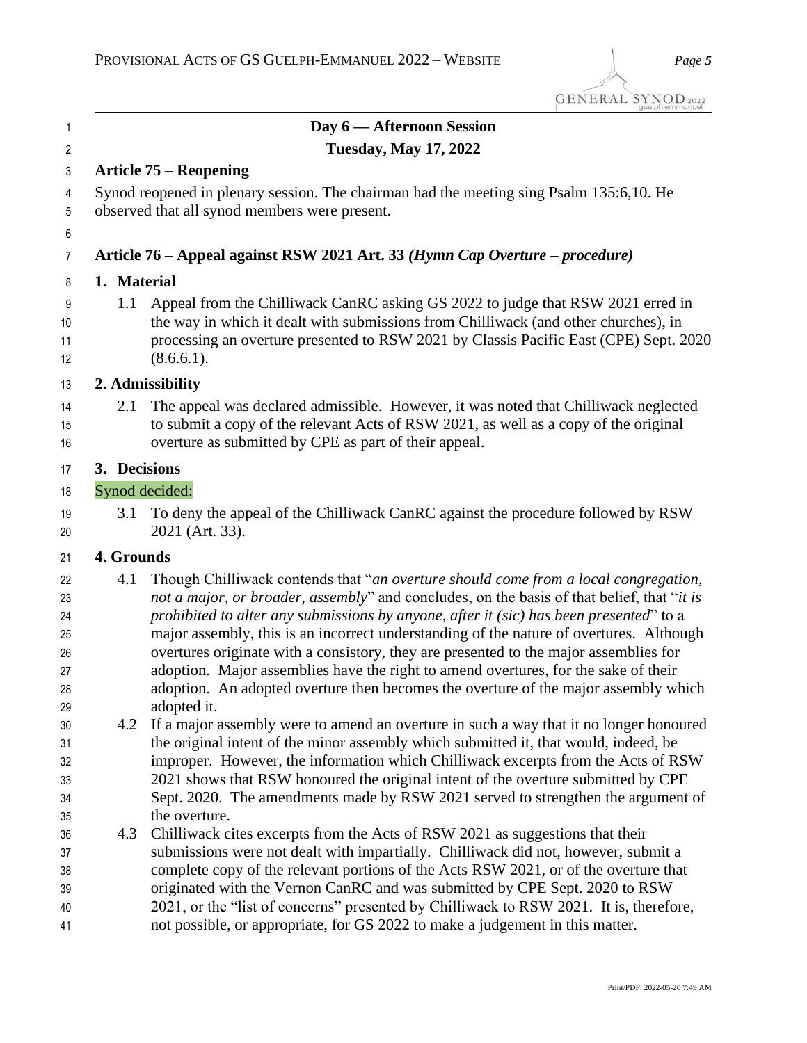| $\mathbf{1}$                                 |                              | Day 6 - Afternoon Session                                                                                                                                                                                                                                                                                                                                                                                                                                                                                                                                                                                                                                    |  |
|----------------------------------------------|------------------------------|--------------------------------------------------------------------------------------------------------------------------------------------------------------------------------------------------------------------------------------------------------------------------------------------------------------------------------------------------------------------------------------------------------------------------------------------------------------------------------------------------------------------------------------------------------------------------------------------------------------------------------------------------------------|--|
| 2                                            | <b>Tuesday, May 17, 2022</b> |                                                                                                                                                                                                                                                                                                                                                                                                                                                                                                                                                                                                                                                              |  |
| 3                                            |                              | <b>Article 75 – Reopening</b>                                                                                                                                                                                                                                                                                                                                                                                                                                                                                                                                                                                                                                |  |
| 4<br>5                                       |                              | Synod reopened in plenary session. The chairman had the meeting sing Psalm 135:6,10. He<br>observed that all synod members were present.                                                                                                                                                                                                                                                                                                                                                                                                                                                                                                                     |  |
| 6                                            |                              |                                                                                                                                                                                                                                                                                                                                                                                                                                                                                                                                                                                                                                                              |  |
| 7                                            |                              | Article 76 – Appeal against RSW 2021 Art. 33 (Hymn Cap Overture – procedure)                                                                                                                                                                                                                                                                                                                                                                                                                                                                                                                                                                                 |  |
| 8                                            | 1. Material                  |                                                                                                                                                                                                                                                                                                                                                                                                                                                                                                                                                                                                                                                              |  |
| 9<br>10<br>11<br>12                          | 1.1                          | Appeal from the Chilliwack CanRC asking GS 2022 to judge that RSW 2021 erred in<br>the way in which it dealt with submissions from Chilliwack (and other churches), in<br>processing an overture presented to RSW 2021 by Classis Pacific East (CPE) Sept. 2020<br>(8.6.6.1).                                                                                                                                                                                                                                                                                                                                                                                |  |
| 13                                           |                              | 2. Admissibility                                                                                                                                                                                                                                                                                                                                                                                                                                                                                                                                                                                                                                             |  |
| 14<br>15<br>16                               | 2.1                          | The appeal was declared admissible. However, it was noted that Chilliwack neglected<br>to submit a copy of the relevant Acts of RSW 2021, as well as a copy of the original<br>overture as submitted by CPE as part of their appeal.                                                                                                                                                                                                                                                                                                                                                                                                                         |  |
| 17                                           | 3. Decisions                 |                                                                                                                                                                                                                                                                                                                                                                                                                                                                                                                                                                                                                                                              |  |
| 18                                           |                              | Synod decided:                                                                                                                                                                                                                                                                                                                                                                                                                                                                                                                                                                                                                                               |  |
| 19<br>20                                     | 3.1                          | To deny the appeal of the Chilliwack CanRC against the procedure followed by RSW<br>2021 (Art. 33).                                                                                                                                                                                                                                                                                                                                                                                                                                                                                                                                                          |  |
| 21                                           | 4. Grounds                   |                                                                                                                                                                                                                                                                                                                                                                                                                                                                                                                                                                                                                                                              |  |
| 22<br>23<br>24<br>25<br>26<br>27<br>28<br>29 | 4.1                          | Though Chilliwack contends that "an overture should come from a local congregation,<br>not a major, or broader, assembly" and concludes, on the basis of that belief, that "it is<br>prohibited to alter any submissions by anyone, after it (sic) has been presented" to a<br>major assembly, this is an incorrect understanding of the nature of overtures. Although<br>overtures originate with a consistory, they are presented to the major assemblies for<br>adoption. Major assemblies have the right to amend overtures, for the sake of their<br>adoption. An adopted overture then becomes the overture of the major assembly which<br>adopted it. |  |
| 30<br>31<br>32<br>33<br>34<br>35             | 4.2                          | If a major assembly were to amend an overture in such a way that it no longer honoured<br>the original intent of the minor assembly which submitted it, that would, indeed, be<br>improper. However, the information which Chilliwack excerpts from the Acts of RSW<br>2021 shows that RSW honoured the original intent of the overture submitted by CPE<br>Sept. 2020. The amendments made by RSW 2021 served to strengthen the argument of<br>the overture.                                                                                                                                                                                                |  |
| 36<br>37<br>38<br>39<br>40                   | 4.3                          | Chilliwack cites excerpts from the Acts of RSW 2021 as suggestions that their<br>submissions were not dealt with impartially. Chilliwack did not, however, submit a<br>complete copy of the relevant portions of the Acts RSW 2021, or of the overture that<br>originated with the Vernon CanRC and was submitted by CPE Sept. 2020 to RSW<br>2021, or the "list of concerns" presented by Chilliwack to RSW 2021. It is, therefore,                                                                                                                                                                                                                         |  |

not possible, or appropriate, for GS 2022 to make a judgement in this matter.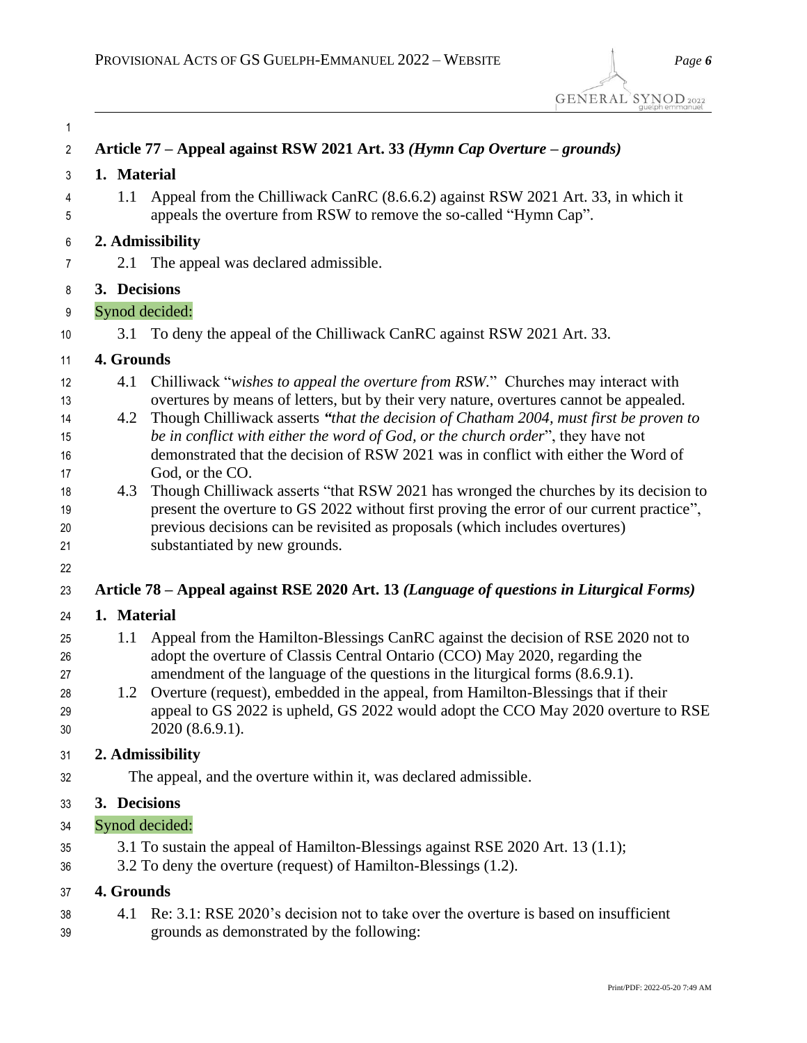| 1                                |                  |                                                                                                                                                                                                                                                                                                                                                                                                                                                   |
|----------------------------------|------------------|---------------------------------------------------------------------------------------------------------------------------------------------------------------------------------------------------------------------------------------------------------------------------------------------------------------------------------------------------------------------------------------------------------------------------------------------------|
| $\overline{2}$                   |                  | Article 77 – Appeal against RSW 2021 Art. 33 (Hymn Cap Overture – grounds)                                                                                                                                                                                                                                                                                                                                                                        |
| 3                                | 1. Material      |                                                                                                                                                                                                                                                                                                                                                                                                                                                   |
| 4<br>5                           | 1.1              | Appeal from the Chilliwack CanRC (8.6.6.2) against RSW 2021 Art. 33, in which it<br>appeals the overture from RSW to remove the so-called "Hymn Cap".                                                                                                                                                                                                                                                                                             |
| 6                                | 2. Admissibility |                                                                                                                                                                                                                                                                                                                                                                                                                                                   |
| 7                                |                  | 2.1 The appeal was declared admissible.                                                                                                                                                                                                                                                                                                                                                                                                           |
| 8                                | 3. Decisions     |                                                                                                                                                                                                                                                                                                                                                                                                                                                   |
| 9                                | Synod decided:   |                                                                                                                                                                                                                                                                                                                                                                                                                                                   |
| 10                               | 3.1              | To deny the appeal of the Chilliwack CanRC against RSW 2021 Art. 33.                                                                                                                                                                                                                                                                                                                                                                              |
| 11                               | 4. Grounds       |                                                                                                                                                                                                                                                                                                                                                                                                                                                   |
| 12<br>13<br>14<br>15             | 4.1<br>4.2       | Chilliwack "wishes to appeal the overture from RSW." Churches may interact with<br>overtures by means of letters, but by their very nature, overtures cannot be appealed.<br>Though Chilliwack asserts "that the decision of Chatham 2004, must first be proven to<br>be in conflict with either the word of God, or the church order", they have not                                                                                             |
| 16                               |                  | demonstrated that the decision of RSW 2021 was in conflict with either the Word of                                                                                                                                                                                                                                                                                                                                                                |
| 17<br>18<br>19<br>20<br>21       | 4.3              | God, or the CO.<br>Though Chilliwack asserts "that RSW 2021 has wronged the churches by its decision to<br>present the overture to GS 2022 without first proving the error of our current practice",<br>previous decisions can be revisited as proposals (which includes overtures)<br>substantiated by new grounds.                                                                                                                              |
| 22                               |                  |                                                                                                                                                                                                                                                                                                                                                                                                                                                   |
| 23                               |                  | Article 78 – Appeal against RSE 2020 Art. 13 (Language of questions in Liturgical Forms)                                                                                                                                                                                                                                                                                                                                                          |
| 24                               | 1. Material      |                                                                                                                                                                                                                                                                                                                                                                                                                                                   |
| 25<br>26<br>27<br>28<br>29<br>30 | 1.1              | Appeal from the Hamilton-Blessings CanRC against the decision of RSE 2020 not to<br>adopt the overture of Classis Central Ontario (CCO) May 2020, regarding the<br>amendment of the language of the questions in the liturgical forms (8.6.9.1).<br>1.2 Overture (request), embedded in the appeal, from Hamilton-Blessings that if their<br>appeal to GS 2022 is upheld, GS 2022 would adopt the CCO May 2020 overture to RSE<br>2020 (8.6.9.1). |
| 31                               |                  | 2. Admissibility                                                                                                                                                                                                                                                                                                                                                                                                                                  |
| 32                               |                  | The appeal, and the overture within it, was declared admissible.                                                                                                                                                                                                                                                                                                                                                                                  |
| 33                               | 3. Decisions     |                                                                                                                                                                                                                                                                                                                                                                                                                                                   |
| 34                               | Synod decided:   |                                                                                                                                                                                                                                                                                                                                                                                                                                                   |
| 35<br>36                         |                  | 3.1 To sustain the appeal of Hamilton-Blessings against RSE 2020 Art. 13 (1.1);<br>3.2 To deny the overture (request) of Hamilton-Blessings (1.2).                                                                                                                                                                                                                                                                                                |

## **4. Grounds**

 4.1 Re: 3.1: RSE 2020's decision not to take over the overture is based on insufficient grounds as demonstrated by the following: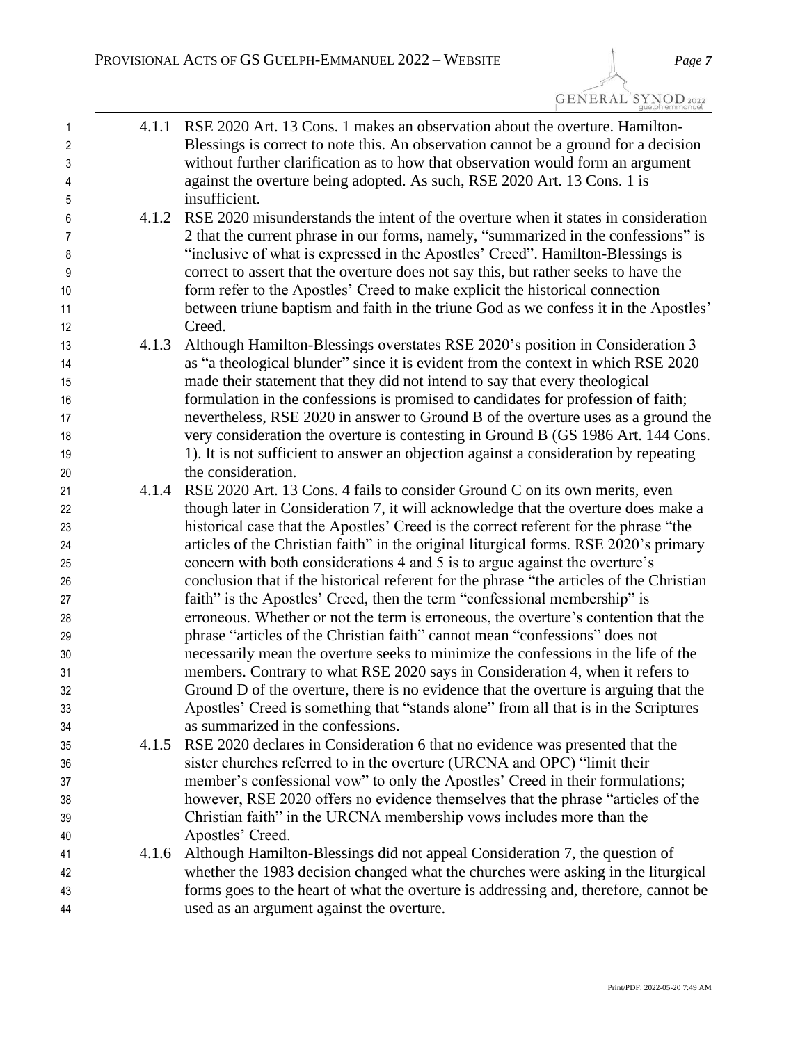GENERAL SYNOD<sub>2022</sub>

| $\mathbf{1}$   | 4.1.1 | RSE 2020 Art. 13 Cons. 1 makes an observation about the overture. Hamilton-              |
|----------------|-------|------------------------------------------------------------------------------------------|
| $\overline{c}$ |       | Blessings is correct to note this. An observation cannot be a ground for a decision      |
| 3              |       | without further clarification as to how that observation would form an argument          |
| 4              |       | against the overture being adopted. As such, RSE 2020 Art. 13 Cons. 1 is                 |
| 5              |       | insufficient.                                                                            |
| 6              | 4.1.2 | RSE 2020 misunderstands the intent of the overture when it states in consideration       |
| 7              |       | 2 that the current phrase in our forms, namely, "summarized in the confessions" is       |
| 8              |       | "inclusive of what is expressed in the Apostles' Creed". Hamilton-Blessings is           |
| 9              |       | correct to assert that the overture does not say this, but rather seeks to have the      |
| 10             |       | form refer to the Apostles' Creed to make explicit the historical connection             |
| 11             |       | between triune baptism and faith in the triune God as we confess it in the Apostles'     |
| 12             |       | Creed.                                                                                   |
| 13             | 4.1.3 | Although Hamilton-Blessings overstates RSE 2020's position in Consideration 3            |
| 14             |       | as "a theological blunder" since it is evident from the context in which RSE 2020        |
| 15             |       | made their statement that they did not intend to say that every theological              |
| 16             |       | formulation in the confessions is promised to candidates for profession of faith;        |
| $17 \,$        |       | nevertheless, RSE 2020 in answer to Ground B of the overture uses as a ground the        |
| 18             |       | very consideration the overture is contesting in Ground B (GS 1986 Art. 144 Cons.        |
| 19             |       | 1). It is not sufficient to answer an objection against a consideration by repeating     |
| 20             |       | the consideration.                                                                       |
| 21             | 4.1.4 | RSE 2020 Art. 13 Cons. 4 fails to consider Ground C on its own merits, even              |
| 22             |       | though later in Consideration 7, it will acknowledge that the overture does make a       |
| 23             |       | historical case that the Apostles' Creed is the correct referent for the phrase "the     |
| 24             |       | articles of the Christian faith" in the original liturgical forms. RSE 2020's primary    |
| 25             |       | concern with both considerations 4 and 5 is to argue against the overture's              |
| 26             |       | conclusion that if the historical referent for the phrase "the articles of the Christian |
| 27             |       | faith" is the Apostles' Creed, then the term "confessional membership" is                |
| 28             |       | erroneous. Whether or not the term is erroneous, the overture's contention that the      |
| 29             |       | phrase "articles of the Christian faith" cannot mean "confessions" does not              |
| 30             |       | necessarily mean the overture seeks to minimize the confessions in the life of the       |
| 31             |       | members. Contrary to what RSE 2020 says in Consideration 4, when it refers to            |
| 32             |       | Ground D of the overture, there is no evidence that the overture is arguing that the     |
| 33             |       | Apostles' Creed is something that "stands alone" from all that is in the Scriptures      |
| 34             |       | as summarized in the confessions.                                                        |
| 35             | 4.1.5 | RSE 2020 declares in Consideration 6 that no evidence was presented that the             |
| 36             |       | sister churches referred to in the overture (URCNA and OPC) "limit their                 |
| 37             |       | member's confessional vow" to only the Apostles' Creed in their formulations;            |
| 38             |       | however, RSE 2020 offers no evidence themselves that the phrase "articles of the         |
| 39             |       | Christian faith" in the URCNA membership vows includes more than the                     |
| 40             |       | Apostles' Creed.                                                                         |
| 41             | 4.1.6 | Although Hamilton-Blessings did not appeal Consideration 7, the question of              |
| 42             |       | whether the 1983 decision changed what the churches were asking in the liturgical        |
| 43             |       | forms goes to the heart of what the overture is addressing and, therefore, cannot be     |
| 44             |       | used as an argument against the overture.                                                |
|                |       |                                                                                          |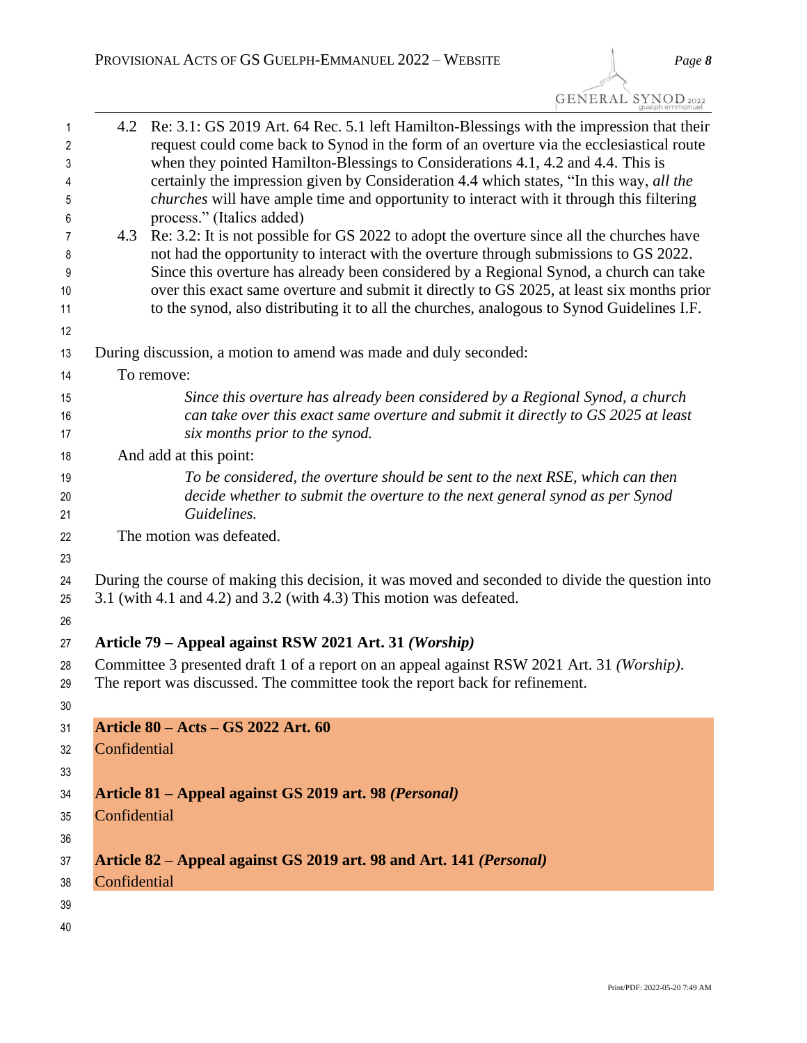| 1<br>2<br>3<br>4<br>5<br>6<br>7<br>8<br>9<br>10 | 4.2                                                                     | Re: 3.1: GS 2019 Art. 64 Rec. 5.1 left Hamilton-Blessings with the impression that their<br>request could come back to Synod in the form of an overture via the ecclesiastical route<br>when they pointed Hamilton-Blessings to Considerations 4.1, 4.2 and 4.4. This is<br>certainly the impression given by Consideration 4.4 which states, "In this way, all the<br><i>churches</i> will have ample time and opportunity to interact with it through this filtering<br>process." (Italics added)<br>4.3 Re: 3.2: It is not possible for GS 2022 to adopt the overture since all the churches have<br>not had the opportunity to interact with the overture through submissions to GS 2022.<br>Since this overture has already been considered by a Regional Synod, a church can take<br>over this exact same overture and submit it directly to GS 2025, at least six months prior |  |
|-------------------------------------------------|-------------------------------------------------------------------------|---------------------------------------------------------------------------------------------------------------------------------------------------------------------------------------------------------------------------------------------------------------------------------------------------------------------------------------------------------------------------------------------------------------------------------------------------------------------------------------------------------------------------------------------------------------------------------------------------------------------------------------------------------------------------------------------------------------------------------------------------------------------------------------------------------------------------------------------------------------------------------------|--|
| 11                                              |                                                                         | to the synod, also distributing it to all the churches, analogous to Synod Guidelines I.F.                                                                                                                                                                                                                                                                                                                                                                                                                                                                                                                                                                                                                                                                                                                                                                                            |  |
| 12                                              |                                                                         |                                                                                                                                                                                                                                                                                                                                                                                                                                                                                                                                                                                                                                                                                                                                                                                                                                                                                       |  |
| 13                                              |                                                                         | During discussion, a motion to amend was made and duly seconded:                                                                                                                                                                                                                                                                                                                                                                                                                                                                                                                                                                                                                                                                                                                                                                                                                      |  |
| 14                                              |                                                                         | To remove:                                                                                                                                                                                                                                                                                                                                                                                                                                                                                                                                                                                                                                                                                                                                                                                                                                                                            |  |
| 15                                              |                                                                         | Since this overture has already been considered by a Regional Synod, a church                                                                                                                                                                                                                                                                                                                                                                                                                                                                                                                                                                                                                                                                                                                                                                                                         |  |
| 16                                              |                                                                         | can take over this exact same overture and submit it directly to GS 2025 at least                                                                                                                                                                                                                                                                                                                                                                                                                                                                                                                                                                                                                                                                                                                                                                                                     |  |
| 17                                              |                                                                         | six months prior to the synod.                                                                                                                                                                                                                                                                                                                                                                                                                                                                                                                                                                                                                                                                                                                                                                                                                                                        |  |
| 18                                              |                                                                         | And add at this point:                                                                                                                                                                                                                                                                                                                                                                                                                                                                                                                                                                                                                                                                                                                                                                                                                                                                |  |
| 19<br>20                                        |                                                                         | To be considered, the overture should be sent to the next RSE, which can then<br>decide whether to submit the overture to the next general synod as per Synod                                                                                                                                                                                                                                                                                                                                                                                                                                                                                                                                                                                                                                                                                                                         |  |
| 21                                              |                                                                         | Guidelines.                                                                                                                                                                                                                                                                                                                                                                                                                                                                                                                                                                                                                                                                                                                                                                                                                                                                           |  |
| 22                                              |                                                                         | The motion was defeated.                                                                                                                                                                                                                                                                                                                                                                                                                                                                                                                                                                                                                                                                                                                                                                                                                                                              |  |
| 23                                              |                                                                         |                                                                                                                                                                                                                                                                                                                                                                                                                                                                                                                                                                                                                                                                                                                                                                                                                                                                                       |  |
| 24                                              |                                                                         | During the course of making this decision, it was moved and seconded to divide the question into                                                                                                                                                                                                                                                                                                                                                                                                                                                                                                                                                                                                                                                                                                                                                                                      |  |
| 25                                              | $3.1$ (with 4.1 and 4.2) and $3.2$ (with 4.3) This motion was defeated. |                                                                                                                                                                                                                                                                                                                                                                                                                                                                                                                                                                                                                                                                                                                                                                                                                                                                                       |  |
| 26                                              |                                                                         |                                                                                                                                                                                                                                                                                                                                                                                                                                                                                                                                                                                                                                                                                                                                                                                                                                                                                       |  |
| 27                                              |                                                                         | Article 79 – Appeal against RSW 2021 Art. 31 (Worship)                                                                                                                                                                                                                                                                                                                                                                                                                                                                                                                                                                                                                                                                                                                                                                                                                                |  |
| 28                                              |                                                                         | Committee 3 presented draft 1 of a report on an appeal against RSW 2021 Art. 31 (Worship).                                                                                                                                                                                                                                                                                                                                                                                                                                                                                                                                                                                                                                                                                                                                                                                            |  |
| 29                                              |                                                                         | The report was discussed. The committee took the report back for refinement.                                                                                                                                                                                                                                                                                                                                                                                                                                                                                                                                                                                                                                                                                                                                                                                                          |  |
| 30 <sup>°</sup>                                 |                                                                         |                                                                                                                                                                                                                                                                                                                                                                                                                                                                                                                                                                                                                                                                                                                                                                                                                                                                                       |  |
| 31                                              |                                                                         | Article 80 - Acts - GS 2022 Art. 60                                                                                                                                                                                                                                                                                                                                                                                                                                                                                                                                                                                                                                                                                                                                                                                                                                                   |  |
| 32                                              | Confidential                                                            |                                                                                                                                                                                                                                                                                                                                                                                                                                                                                                                                                                                                                                                                                                                                                                                                                                                                                       |  |
| 33                                              |                                                                         |                                                                                                                                                                                                                                                                                                                                                                                                                                                                                                                                                                                                                                                                                                                                                                                                                                                                                       |  |
| 34                                              |                                                                         | Article 81 – Appeal against GS 2019 art. 98 (Personal)                                                                                                                                                                                                                                                                                                                                                                                                                                                                                                                                                                                                                                                                                                                                                                                                                                |  |
| 35                                              | Confidential                                                            |                                                                                                                                                                                                                                                                                                                                                                                                                                                                                                                                                                                                                                                                                                                                                                                                                                                                                       |  |
| 36                                              |                                                                         |                                                                                                                                                                                                                                                                                                                                                                                                                                                                                                                                                                                                                                                                                                                                                                                                                                                                                       |  |
| 37                                              |                                                                         | Article 82 – Appeal against GS 2019 art. 98 and Art. 141 (Personal)                                                                                                                                                                                                                                                                                                                                                                                                                                                                                                                                                                                                                                                                                                                                                                                                                   |  |
| 38                                              | Confidential                                                            |                                                                                                                                                                                                                                                                                                                                                                                                                                                                                                                                                                                                                                                                                                                                                                                                                                                                                       |  |
| 39                                              |                                                                         |                                                                                                                                                                                                                                                                                                                                                                                                                                                                                                                                                                                                                                                                                                                                                                                                                                                                                       |  |
| 40                                              |                                                                         |                                                                                                                                                                                                                                                                                                                                                                                                                                                                                                                                                                                                                                                                                                                                                                                                                                                                                       |  |